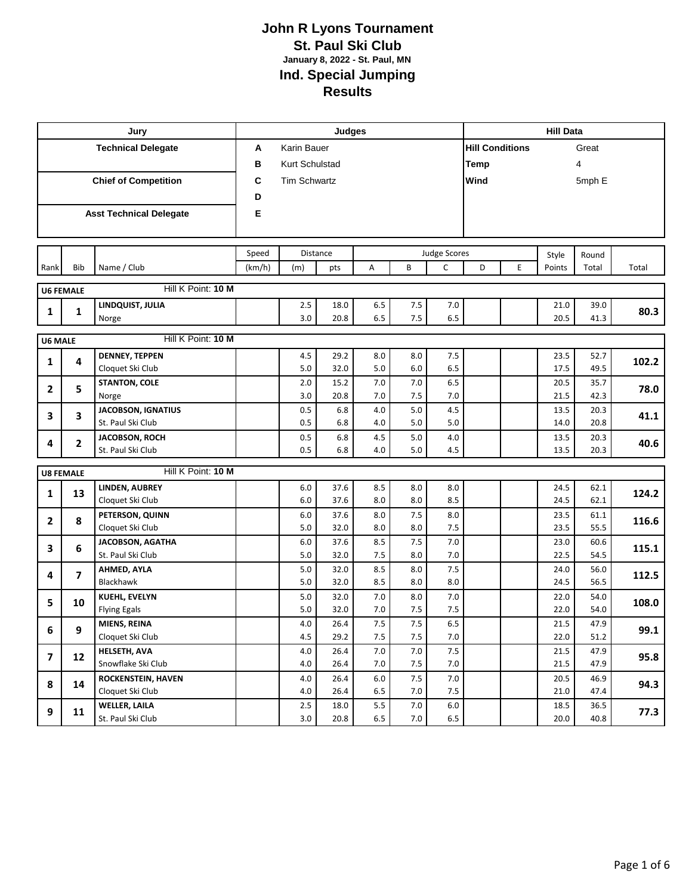|                         |                                      | Jury                                           |        |                | Judges       |                |                    |                    | <b>Hill Data</b>       |   |              |              |       |  |  |  |  |  |  |
|-------------------------|--------------------------------------|------------------------------------------------|--------|----------------|--------------|----------------|--------------------|--------------------|------------------------|---|--------------|--------------|-------|--|--|--|--|--|--|
|                         |                                      | <b>Technical Delegate</b>                      | Α      | Karin Bauer    |              |                |                    |                    | <b>Hill Conditions</b> |   |              | Great        |       |  |  |  |  |  |  |
|                         |                                      |                                                | B      | Kurt Schulstad |              |                |                    |                    | Temp                   |   |              | 4            |       |  |  |  |  |  |  |
|                         |                                      | <b>Chief of Competition</b>                    | C      |                |              | Wind           |                    |                    | 5mph E                 |   |              |              |       |  |  |  |  |  |  |
|                         |                                      |                                                | D      |                |              |                |                    |                    |                        |   |              |              |       |  |  |  |  |  |  |
|                         |                                      | <b>Asst Technical Delegate</b>                 | Е      |                |              |                |                    |                    |                        |   |              |              |       |  |  |  |  |  |  |
|                         |                                      |                                                |        |                |              |                |                    |                    |                        |   |              |              |       |  |  |  |  |  |  |
|                         |                                      |                                                |        |                |              |                |                    |                    |                        |   |              |              |       |  |  |  |  |  |  |
|                         |                                      |                                                | Speed  |                | Distance     |                |                    | Judge Scores       |                        |   | Style        | Round        |       |  |  |  |  |  |  |
| Rank                    | Bib                                  | Name / Club                                    | (km/h) | (m)            | pts          | А              | B                  | $\mathsf{C}$       | D                      | E | Points       | Total        | Total |  |  |  |  |  |  |
|                         | <b>U6 FEMALE</b>                     | Hill K Point: 10 M                             |        |                |              |                |                    |                    |                        |   |              |              |       |  |  |  |  |  |  |
| 1                       | 1                                    | LINDQUIST, JULIA                               |        | 2.5            | 18.0         | 6.5            | $7.5$              | 7.0                |                        |   | 21.0         | 39.0         | 80.3  |  |  |  |  |  |  |
|                         |                                      | Norge                                          |        | 3.0            | 20.8         | 6.5            | 7.5                | 6.5                |                        |   | 20.5         | 41.3         |       |  |  |  |  |  |  |
|                         | Hill K Point: 10 M<br><b>U6 MALE</b> |                                                |        |                |              |                |                    |                    |                        |   |              |              |       |  |  |  |  |  |  |
| 1                       | $\overline{\mathbf{4}}$              | <b>DENNEY, TEPPEN</b>                          |        | 4.5            | 29.2         | 8.0            | 8.0                | 7.5                |                        |   | 23.5         | 52.7         | 102.2 |  |  |  |  |  |  |
|                         |                                      | Cloquet Ski Club                               |        | 5.0            | 32.0         | 5.0            | 6.0                | 6.5                |                        |   | 17.5         | 49.5         |       |  |  |  |  |  |  |
| 2                       | 5                                    | <b>STANTON, COLE</b>                           |        | 2.0            | 15.2         | 7.0            | 7.0                | 6.5                |                        |   | 20.5         | 35.7         | 78.0  |  |  |  |  |  |  |
|                         |                                      | Norge                                          |        | 3.0            | 20.8         | 7.0            | 7.5                | 7.0                |                        |   | 21.5         | 42.3         |       |  |  |  |  |  |  |
| 3                       | 3                                    | <b>JACOBSON, IGNATIUS</b><br>St. Paul Ski Club |        | 0.5<br>0.5     | 6.8<br>6.8   | 4.0<br>4.0     | 5.0<br>5.0         | 4.5<br>5.0         |                        |   | 13.5<br>14.0 | 20.3<br>20.8 | 41.1  |  |  |  |  |  |  |
|                         |                                      | JACOBSON, ROCH                                 |        | 0.5            | 6.8          | 4.5            | 5.0                | 4.0                |                        |   | 13.5         | 20.3         |       |  |  |  |  |  |  |
| 4                       | $\mathbf{2}$                         | St. Paul Ski Club                              |        | 0.5            | 6.8          | 4.0            | 5.0                | 4.5                |                        |   | 13.5         | 20.3         | 40.6  |  |  |  |  |  |  |
|                         |                                      |                                                |        |                |              |                |                    |                    |                        |   |              |              |       |  |  |  |  |  |  |
|                         | <b>U8 FEMALE</b>                     | Hill K Point: 10 M                             |        |                |              |                |                    |                    |                        |   |              |              |       |  |  |  |  |  |  |
| 1                       | 13                                   | LINDEN, AUBREY                                 |        | $6.0\,$        | 37.6         | 8.5            | 8.0                | 8.0                |                        |   | 24.5         | 62.1         | 124.2 |  |  |  |  |  |  |
|                         |                                      | Cloquet Ski Club<br>PETERSON, QUINN            |        | 6.0<br>6.0     | 37.6<br>37.6 | 8.0<br>8.0     | 8.0<br>7.5         | 8.5<br>8.0         |                        |   | 24.5<br>23.5 | 62.1<br>61.1 |       |  |  |  |  |  |  |
| 2                       | 8                                    | Cloquet Ski Club                               |        | 5.0            | 32.0         | 8.0            | 8.0                | 7.5                |                        |   | 23.5         | 55.5         | 116.6 |  |  |  |  |  |  |
|                         |                                      | <b>JACOBSON, AGATHA</b>                        |        | 6.0            | 37.6         | 8.5            | 7.5                | 7.0                |                        |   | 23.0         | 60.6         |       |  |  |  |  |  |  |
| 3                       | 6                                    | St. Paul Ski Club                              |        | 5.0            | 32.0         | 7.5            | 8.0                | 7.0                |                        |   | 22.5         | 54.5         | 115.1 |  |  |  |  |  |  |
| 4                       | $\overline{7}$                       | AHMED, AYLA                                    |        | 5.0            | 32.0         | 8.5            | 8.0                | 7.5                |                        |   | 24.0         | 56.0         | 112.5 |  |  |  |  |  |  |
|                         |                                      | Blackhawk                                      |        | 5.0            | 32.0         | 8.5            | 8.0                | 8.0                |                        |   | 24.5         | 56.5         |       |  |  |  |  |  |  |
| 5                       | 10                                   | KUEHL, EVELYN                                  |        | 5.0            | 32.0         | 7.0            | 8.0                | 7.0                |                        |   | 22.0         | 54.0         | 108.0 |  |  |  |  |  |  |
|                         |                                      | <b>Flying Egals</b>                            |        | 5.0            | 32.0         | 7.0            | 7.5                | 7.5                |                        |   | 22.0         | 54.0         |       |  |  |  |  |  |  |
| 6                       | 9                                    | MIENS, REINA                                   |        | $4.0\,$        | 26.4         | 7.5            | 7.5                | 6.5                |                        |   | 21.5         | 47.9         | 99.1  |  |  |  |  |  |  |
|                         |                                      | Cloquet Ski Club<br>HELSETH, AVA               |        | 4.5<br>4.0     | 29.2<br>26.4 | $7.5\,$<br>7.0 | $7.5\,$<br>$7.0\,$ | $7.0\,$<br>$7.5\,$ |                        |   | 22.0<br>21.5 | 51.2<br>47.9 |       |  |  |  |  |  |  |
| $\overline{\mathbf{z}}$ | 12                                   | Snowflake Ski Club                             |        | 4.0            | 26.4         | 7.0            | 7.5                | 7.0                |                        |   | 21.5         | 47.9         | 95.8  |  |  |  |  |  |  |
|                         |                                      | <b>ROCKENSTEIN, HAVEN</b>                      |        | 4.0            | 26.4         | $6.0\,$        | $7.5\,$            | $7.0\,$            |                        |   | 20.5         | 46.9         |       |  |  |  |  |  |  |
| 8                       | 14                                   | Cloquet Ski Club                               |        | 4.0            | 26.4         | $6.5\,$        | 7.0                | 7.5                |                        |   | 21.0         | 47.4         | 94.3  |  |  |  |  |  |  |
|                         |                                      | <b>WELLER, LAILA</b>                           |        | $2.5\,$        | 18.0         | $5.5\,$        | $7.0\,$            | $6.0\,$            |                        |   | 18.5         | 36.5         |       |  |  |  |  |  |  |
| 9                       | 11                                   | St. Paul Ski Club                              |        | 3.0            | 20.8         | 6.5            | 7.0                | $6.5\,$            |                        |   | 20.0         | 40.8         | 77.3  |  |  |  |  |  |  |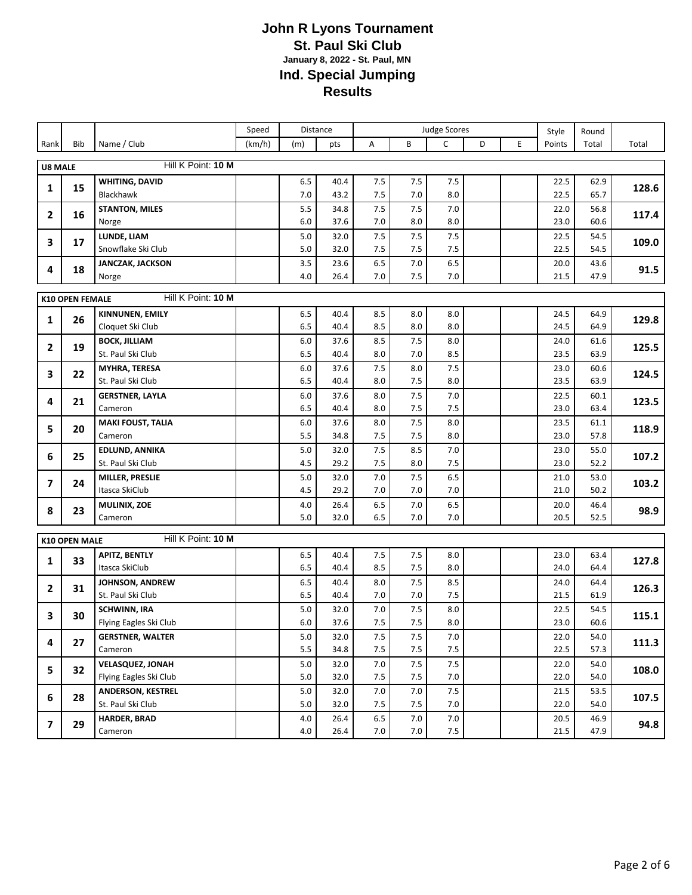|                          |                                              |                                               | Speed  |              | Distance     | <b>Judge Scores</b> |            |                |   |   | Style        | Round        |       |
|--------------------------|----------------------------------------------|-----------------------------------------------|--------|--------------|--------------|---------------------|------------|----------------|---|---|--------------|--------------|-------|
| Rank                     | Bib                                          | Name / Club                                   | (km/h) | (m)          | pts          | Α                   | B          | $\mathsf{C}$   | D | E | Points       | Total        | Total |
| <b>U8 MALE</b>           |                                              | Hill K Point: 10 M                            |        |              |              |                     |            |                |   |   |              |              |       |
|                          |                                              | <b>WHITING, DAVID</b>                         |        | 6.5          | 40.4         | 7.5                 | 7.5        | 7.5            |   |   | 22.5         | 62.9         |       |
| 1                        | 15                                           | Blackhawk                                     |        | 7.0          | 43.2         | 7.5                 | 7.0        | 8.0            |   |   | 22.5         | 65.7         | 128.6 |
|                          |                                              | <b>STANTON, MILES</b>                         |        | 5.5          | 34.8         | 7.5                 | 7.5        | 7.0            |   |   | 22.0         | 56.8         | 117.4 |
| $\overline{2}$           | 16                                           | Norge                                         |        | 6.0          | 37.6         | 7.0                 | 8.0        | 8.0            |   |   | 23.0         | 60.6         |       |
| 3                        | 17                                           | LUNDE, LIAM                                   |        | 5.0          | 32.0         | 7.5                 | 7.5        | 7.5            |   |   | 22.5         | 54.5         | 109.0 |
|                          |                                              | Snowflake Ski Club                            |        | 5.0          | 32.0         | 7.5                 | 7.5        | 7.5            |   |   | 22.5         | 54.5         |       |
| 4                        | 18                                           | <b>JANCZAK, JACKSON</b>                       |        | 3.5<br>$4.0$ | 23.6         | 6.5                 | 7.0        | 6.5            |   |   | 20.0<br>21.5 | 43.6<br>47.9 | 91.5  |
|                          |                                              | Norge                                         |        |              | 26.4         | 7.0                 | 7.5        | 7.0            |   |   |              |              |       |
|                          | Hill K Point: 10 M<br><b>K10 OPEN FEMALE</b> |                                               |        |              |              |                     |            |                |   |   |              |              |       |
| 1                        | 26                                           | <b>KINNUNEN, EMILY</b>                        |        | 6.5          | 40.4         | 8.5                 | 8.0        | 8.0            |   |   | 24.5         | 64.9         | 129.8 |
|                          |                                              | Cloquet Ski Club                              |        | 6.5          | 40.4         | 8.5                 | 8.0        | 8.0            |   |   | 24.5         | 64.9         |       |
| $\mathbf{2}$             | 19                                           | <b>BOCK, JILLIAM</b>                          |        | $6.0$        | 37.6         | 8.5                 | 7.5        | 8.0            |   |   | 24.0         | 61.6         | 125.5 |
|                          |                                              | St. Paul Ski Club                             |        | 6.5<br>6.0   | 40.4<br>37.6 | 8.0<br>7.5          | 7.0<br>8.0 | 8.5<br>7.5     |   |   | 23.5<br>23.0 | 63.9<br>60.6 |       |
| 3                        | 22                                           | <b>MYHRA, TERESA</b><br>St. Paul Ski Club     |        | 6.5          | 40.4         | 8.0                 | 7.5        | 8.0            |   |   | 23.5         | 63.9         | 124.5 |
|                          |                                              | <b>GERSTNER, LAYLA</b>                        |        | 6.0          | 37.6         | 8.0                 | 7.5        | 7.0            |   |   | 22.5         | 60.1         |       |
| 4                        | 21                                           | Cameron                                       |        | 6.5          | 40.4         | 8.0                 | 7.5        | 7.5            |   |   | 23.0         | 63.4         | 123.5 |
| 5                        | 20                                           | <b>MAKI FOUST, TALIA</b>                      |        | 6.0          | 37.6         | 8.0                 | 7.5        | 8.0            |   |   | 23.5         | 61.1         | 118.9 |
|                          |                                              | Cameron                                       |        | 5.5          | 34.8         | 7.5                 | 7.5        | 8.0            |   |   | 23.0         | 57.8         |       |
| 6                        | 25                                           | <b>EDLUND, ANNIKA</b>                         |        | 5.0          | 32.0         | 7.5                 | 8.5        | 7.0            |   |   | 23.0         | 55.0         | 107.2 |
|                          |                                              | St. Paul Ski Club                             |        | 4.5          | 29.2         | 7.5                 | 8.0        | 7.5            |   |   | 23.0         | 52.2         |       |
| $\overline{\phantom{a}}$ | 24                                           | MILLER, PRESLIE<br>Itasca SkiClub             |        | $5.0$<br>4.5 | 32.0<br>29.2 | 7.0<br>7.0          | 7.5<br>7.0 | 6.5<br>7.0     |   |   | 21.0<br>21.0 | 53.0<br>50.2 | 103.2 |
|                          |                                              | MULINIX, ZOE                                  |        | 4.0          | 26.4         | 6.5                 | $7.0$      | 6.5            |   |   | 20.0         | 46.4         |       |
| 8                        | 23                                           | Cameron                                       |        | 5.0          | 32.0         | 6.5                 | 7.0        | 7.0            |   |   | 20.5         | 52.5         | 98.9  |
|                          |                                              |                                               |        |              |              |                     |            |                |   |   |              |              |       |
|                          | K10 OPEN MALE                                | Hill K Point: 10 M                            |        |              |              |                     |            |                |   |   |              |              |       |
| 1                        | 33                                           | <b>APITZ, BENTLY</b><br>Itasca SkiClub        |        | 6.5<br>6.5   | 40.4<br>40.4 | 7.5<br>8.5          | 7.5<br>7.5 | 8.0<br>8.0     |   |   | 23.0<br>24.0 | 63.4<br>64.4 | 127.8 |
|                          |                                              | JOHNSON, ANDREW                               |        | 6.5          | 40.4         | 8.0                 | 7.5        | 8.5            |   |   | 24.0         | 64.4         |       |
| $\mathbf{2}$             | 31                                           | St. Paul Ski Club                             |        | 6.5          | 40.4         | 7.0                 | 7.0        | 7.5            |   |   | 21.5         | 61.9         | 126.3 |
|                          |                                              | <b>SCHWINN, IRA</b>                           |        | 5.0          | 32.0         | 7.0                 | 7.5        | 8.0            |   |   | 22.5         | 54.5         |       |
| 3                        | 30                                           | Flying Eagles Ski Club                        |        | 6.0          | 37.6         | 7.5                 | 7.5        | 8.0            |   |   | 23.0         | 60.6         | 115.1 |
| 4                        | 27                                           | <b>GERSTNER, WALTER</b>                       |        | 5.0          | 32.0         | 7.5                 | $7.5\,$    | 7.0            |   |   | 22.0         | 54.0         | 111.3 |
|                          |                                              | Cameron                                       |        | 5.5          | 34.8         | 7.5                 | 7.5        | $7.5$          |   |   | 22.5         | 57.3         |       |
| 5                        | 32                                           | <b>VELASQUEZ, JONAH</b>                       |        | 5.0          | 32.0         | 7.0                 | $7.5\,$    | $7.5\,$        |   |   | 22.0         | 54.0         | 108.0 |
|                          |                                              | Flying Eagles Ski Club                        |        | 5.0          | 32.0         | 7.5                 | 7.5        | 7.0            |   |   | 22.0         | 54.0         |       |
| 6                        | 28                                           | <b>ANDERSON, KESTREL</b><br>St. Paul Ski Club |        | 5.0<br>5.0   | 32.0<br>32.0 | $7.0$<br>7.5        | 7.0<br>7.5 | $7.5\,$<br>7.0 |   |   | 21.5<br>22.0 | 53.5<br>54.0 | 107.5 |
|                          |                                              | <b>HARDER, BRAD</b>                           |        | 4.0          | 26.4         | $6.5\,$             | 7.0        | 7.0            |   |   | 20.5         | 46.9         |       |
| $\overline{\mathbf{z}}$  | 29                                           | Cameron                                       |        | 4.0          | 26.4         | 7.0                 | 7.0        | 7.5            |   |   | 21.5         | 47.9         | 94.8  |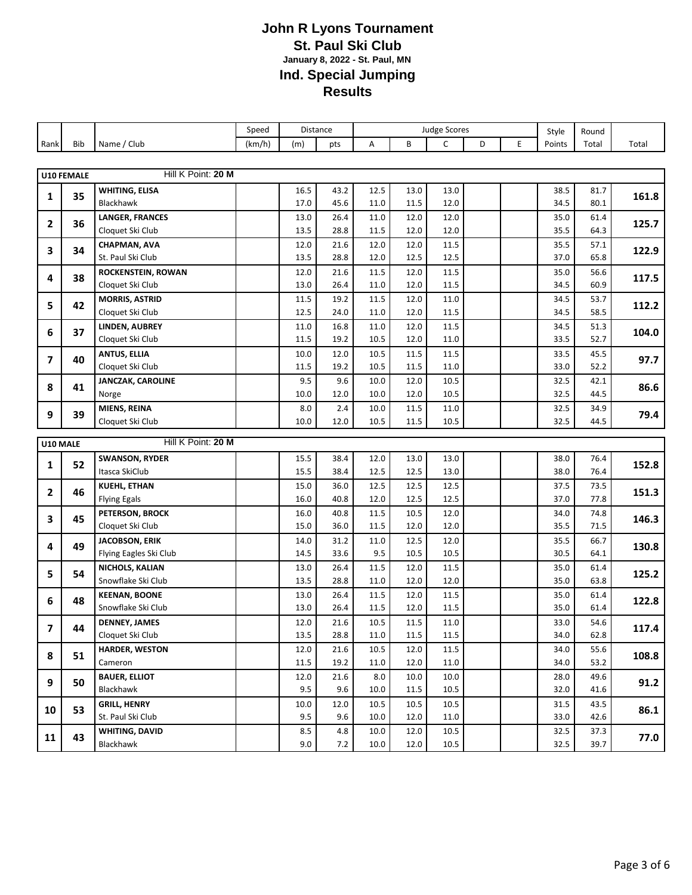|              |                                |                                               | Speed  |              | Distance     | <b>Judge Scores</b> |              |              |   |   | Style        | Round        |       |
|--------------|--------------------------------|-----------------------------------------------|--------|--------------|--------------|---------------------|--------------|--------------|---|---|--------------|--------------|-------|
| Rank         | Bib                            | Name / Club                                   | (km/h) | (m)          | pts          | A                   | B            | C            | D | E | Points       | Total        | Total |
|              |                                |                                               |        |              |              |                     |              |              |   |   |              |              |       |
|              | <b>U10 FEMALE</b>              | Hill K Point: 20 M                            |        |              |              |                     |              |              |   |   |              |              |       |
| 1            | 35                             | <b>WHITING, ELISA</b>                         |        | 16.5         | 43.2         | 12.5                | 13.0         | 13.0         |   |   | 38.5         | 81.7         | 161.8 |
|              |                                | <b>Blackhawk</b>                              |        | 17.0         | 45.6         | 11.0                | 11.5         | 12.0         |   |   | 34.5         | 80.1         |       |
| 2            | 36                             | <b>LANGER, FRANCES</b>                        |        | 13.0         | 26.4         | 11.0                | 12.0         | 12.0         |   |   | 35.0         | 61.4         | 125.7 |
|              |                                | Cloquet Ski Club                              |        | 13.5         | 28.8         | 11.5                | 12.0         | 12.0         |   |   | 35.5         | 64.3         |       |
| 3            | 34                             | <b>CHAPMAN, AVA</b>                           |        | 12.0         | 21.6         | 12.0                | 12.0         | 11.5         |   |   | 35.5         | 57.1         | 122.9 |
|              |                                | St. Paul Ski Club                             |        | 13.5         | 28.8         | 12.0                | 12.5         | 12.5         |   |   | 37.0         | 65.8         |       |
| 4            | 38                             | <b>ROCKENSTEIN, ROWAN</b><br>Cloquet Ski Club |        | 12.0<br>13.0 | 21.6<br>26.4 | 11.5<br>11.0        | 12.0<br>12.0 | 11.5<br>11.5 |   |   | 35.0<br>34.5 | 56.6<br>60.9 | 117.5 |
|              |                                | <b>MORRIS, ASTRID</b>                         |        | 11.5         | 19.2         | 11.5                | 12.0         | 11.0         |   |   | 34.5         | 53.7         |       |
| 5            | 42                             | Cloquet Ski Club                              |        | 12.5         | 24.0         | 11.0                | 12.0         | 11.5         |   |   | 34.5         | 58.5         | 112.2 |
|              |                                | LINDEN, AUBREY                                |        | 11.0         | 16.8         | 11.0                | 12.0         | 11.5         |   |   | 34.5         | 51.3         |       |
| 6            | 37                             | Cloquet Ski Club                              |        | 11.5         | 19.2         | 10.5                | 12.0         | 11.0         |   |   | 33.5         | 52.7         | 104.0 |
|              |                                | <b>ANTUS, ELLIA</b>                           |        | 10.0         | 12.0         | 10.5                | 11.5         | 11.5         |   |   | 33.5         | 45.5         |       |
| 7            | 40                             | Cloquet Ski Club                              |        | 11.5         | 19.2         | 10.5                | 11.5         | 11.0         |   |   | 33.0         | 52.2         | 97.7  |
| 8            | 41                             | <b>JANCZAK, CAROLINE</b>                      |        | 9.5          | 9.6          | 10.0                | 12.0         | 10.5         |   |   | 32.5         | 42.1         | 86.6  |
|              |                                | Norge                                         |        | 10.0         | 12.0         | 10.0                | 12.0         | 10.5         |   |   | 32.5         | 44.5         |       |
| 9            | 39                             | MIENS, REINA                                  |        | 8.0          | 2.4          | 10.0                | 11.5         | 11.0         |   |   | 32.5         | 34.9         | 79.4  |
|              |                                | Cloquet Ski Club                              |        | 10.0         | 12.0         | 10.5                | 11.5         | 10.5         |   |   | 32.5         | 44.5         |       |
|              | Hill K Point: 20 M<br>U10 MALE |                                               |        |              |              |                     |              |              |   |   |              |              |       |
|              |                                | <b>SWANSON, RYDER</b>                         |        | 15.5         | 38.4         | 12.0                | 13.0         | 13.0         |   |   | 38.0         | 76.4         |       |
| 1            | 52                             | Itasca SkiClub                                |        | 15.5         | 38.4         | 12.5                | 12.5         | 13.0         |   |   | 38.0         | 76.4         | 152.8 |
|              |                                | <b>KUEHL, ETHAN</b>                           |        | 15.0         | 36.0         | 12.5                | 12.5         | 12.5         |   |   | 37.5         | 73.5         |       |
| $\mathbf{2}$ | 46                             | <b>Flying Egals</b>                           |        | 16.0         | 40.8         | 12.0                | 12.5         | 12.5         |   |   | 37.0         | 77.8         | 151.3 |
| 3            | 45                             | PETERSON, BROCK                               |        | 16.0         | 40.8         | 11.5                | 10.5         | 12.0         |   |   | 34.0         | 74.8         | 146.3 |
|              |                                | Cloquet Ski Club                              |        | 15.0         | 36.0         | 11.5                | 12.0         | 12.0         |   |   | 35.5         | 71.5         |       |
| 4            | 49                             | <b>JACOBSON, ERIK</b>                         |        | 14.0         | 31.2         | 11.0                | 12.5         | 12.0         |   |   | 35.5         | 66.7         | 130.8 |
|              |                                | Flying Eagles Ski Club                        |        | 14.5         | 33.6         | 9.5                 | 10.5         | 10.5         |   |   | 30.5         | 64.1         |       |
| 5            | 54                             | NICHOLS, KALIAN                               |        | 13.0         | 26.4         | 11.5                | 12.0         | 11.5         |   |   | 35.0         | 61.4         | 125.2 |
|              |                                | Snowflake Ski Club                            |        | 13.5         | 28.8         | 11.0                | 12.0         | 12.0         |   |   | 35.0         | 63.8         |       |
| 6            | 48                             | <b>KEENAN, BOONE</b><br>Snowflake Ski Club    |        | 13.0<br>13.0 | 26.4<br>26.4 | 11.5<br>11.5        | 12.0<br>12.0 | 11.5<br>11.5 |   |   | 35.0<br>35.0 | 61.4<br>61.4 | 122.8 |
|              |                                | <b>DENNEY, JAMES</b>                          |        | 12.0         | 21.6         | 10.5                | 11.5         | 11.0         |   |   | 33.0         | 54.6         |       |
| 7            | 44                             | Cloquet Ski Club                              |        | 13.5         | 28.8         | 11.0                | 11.5         | 11.5         |   |   | 34.0         | 62.8         | 117.4 |
|              |                                | <b>HARDER, WESTON</b>                         |        | 12.0         | 21.6         | 10.5                | 12.0         | 11.5         |   |   | 34.0         | 55.6         |       |
| 8            | 51                             | Cameron                                       |        | 11.5         | 19.2         | 11.0                | 12.0         | 11.0         |   |   | 34.0         | 53.2         | 108.8 |
|              |                                | <b>BAUER, ELLIOT</b>                          |        | 12.0         | 21.6         | 8.0                 | 10.0         | 10.0         |   |   | 28.0         | 49.6         |       |
| 9            | 50                             | Blackhawk                                     |        | 9.5          | 9.6          | 10.0                | 11.5         | 10.5         |   |   | 32.0         | 41.6         | 91.2  |
| 10           | 53                             | <b>GRILL, HENRY</b>                           |        | 10.0         | 12.0         | 10.5                | 10.5         | 10.5         |   |   | 31.5         | 43.5         | 86.1  |
|              |                                | St. Paul Ski Club                             |        | 9.5          | 9.6          | 10.0                | 12.0         | 11.0         |   |   | 33.0         | 42.6         |       |
| 11           | 43                             | WHITING, DAVID                                |        | 8.5          | 4.8          | 10.0                | 12.0         | 10.5         |   |   | 32.5         | 37.3         | 77.0  |
|              |                                | Blackhawk                                     |        | 9.0          | 7.2          | 10.0                | 12.0         | 10.5         |   |   | 32.5         | 39.7         |       |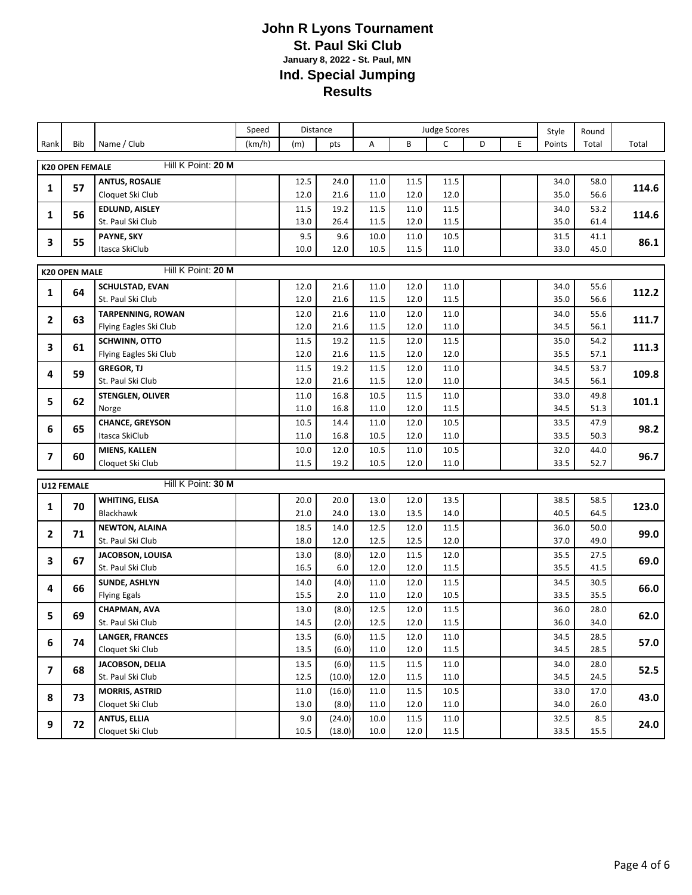|              |                        |                                     | Speed  |              | <b>Distance</b> | <b>Judge Scores</b> |              |                      |   |   | Style        | Round        |       |
|--------------|------------------------|-------------------------------------|--------|--------------|-----------------|---------------------|--------------|----------------------|---|---|--------------|--------------|-------|
| Rank         | Bib                    | Name / Club                         | (km/h) | (m)          | pts             | Α                   | B            | $\mathsf{C}$         | D | E | Points       | Total        | Total |
|              | <b>K20 OPEN FEMALE</b> | Hill K Point: 20 M                  |        |              |                 |                     |              |                      |   |   |              |              |       |
|              |                        | <b>ANTUS, ROSALIE</b>               |        | 12.5         | 24.0            | 11.0                | 11.5         | 11.5                 |   |   | 34.0         | 58.0         |       |
| 1            | 57                     | Cloquet Ski Club                    |        | 12.0         | 21.6            | 11.0                | 12.0         | 12.0                 |   |   | 35.0         | 56.6         | 114.6 |
|              |                        | EDLUND, AISLEY                      |        | 11.5         | 19.2            | 11.5                | 11.0         | 11.5                 |   |   | 34.0         | 53.2         |       |
| 1            | 56                     | St. Paul Ski Club                   |        | 13.0         | 26.4            | 11.5                | 12.0         | 11.5                 |   |   | 35.0         | 61.4         | 114.6 |
| 3            | 55                     | PAYNE, SKY                          |        | 9.5          | 9.6             | 10.0                | 11.0         | 10.5                 |   |   | 31.5         | 41.1         | 86.1  |
|              |                        | Itasca SkiClub                      |        | 10.0         | 12.0            | 10.5                | 11.5         | 11.0                 |   |   | 33.0         | 45.0         |       |
|              | <b>K20 OPEN MALE</b>   | Hill K Point: 20 M                  |        |              |                 |                     |              |                      |   |   |              |              |       |
|              |                        | <b>SCHULSTAD, EVAN</b>              |        | 12.0         | 21.6            | 11.0                | 12.0         | 11.0                 |   |   | 34.0         | 55.6         |       |
| $\mathbf{1}$ | 64                     | St. Paul Ski Club                   |        | 12.0         | 21.6            | 11.5                | 12.0         | 11.5                 |   |   | 35.0         | 56.6         | 112.2 |
| 2            | 63                     | <b>TARPENNING, ROWAN</b>            |        | 12.0         | 21.6            | 11.0                | 12.0         | 11.0                 |   |   | 34.0         | 55.6         | 111.7 |
|              |                        | Flying Eagles Ski Club              |        | 12.0         | 21.6            | 11.5                | 12.0         | 11.0                 |   |   | 34.5         | 56.1         |       |
| 3            | 61                     | <b>SCHWINN, OTTO</b>                |        | 11.5         | 19.2            | 11.5                | 12.0         | 11.5                 |   |   | 35.0         | 54.2         | 111.3 |
|              |                        | Flying Eagles Ski Club              |        | 12.0         | 21.6            | 11.5                | 12.0         | 12.0                 |   |   | 35.5         | 57.1         |       |
| 4            | 59                     | <b>GREGOR, TJ</b>                   |        | 11.5         | 19.2            | 11.5                | 12.0         | 11.0                 |   |   | 34.5         | 53.7         | 109.8 |
|              |                        | St. Paul Ski Club                   |        | 12.0         | 21.6            | 11.5                | 12.0         | 11.0                 |   |   | 34.5         | 56.1         |       |
| 5            | 62                     | <b>STENGLEN, OLIVER</b><br>Norge    |        | 11.0<br>11.0 | 16.8<br>16.8    | 10.5<br>11.0        | 11.5<br>12.0 | 11.0<br>11.5         |   |   | 33.0<br>34.5 | 49.8<br>51.3 | 101.1 |
|              |                        | <b>CHANCE, GREYSON</b>              |        | 10.5         | 14.4            | 11.0                | 12.0         | 10.5                 |   |   | 33.5         | 47.9         |       |
| 6            | 65                     | Itasca SkiClub                      |        | 11.0         | 16.8            | 10.5                | 12.0         | 11.0                 |   |   | 33.5         | 50.3         | 98.2  |
|              |                        | <b>MIENS, KALLEN</b>                |        | 10.0         | 12.0            | 10.5                | 11.0         | 10.5                 |   |   | 32.0         | 44.0         |       |
| 7            | 60                     | Cloquet Ski Club                    |        | 11.5         | 19.2            | 10.5                | 12.0         | 11.0                 |   |   | 33.5         | 52.7         | 96.7  |
|              | <b>U12 FEMALE</b>      | Hill K Point: 30 M                  |        |              |                 |                     |              |                      |   |   |              |              |       |
|              |                        | <b>WHITING, ELISA</b>               |        | 20.0         | 20.0            | 13.0                | 12.0         | 13.5                 |   |   | 38.5         | 58.5         |       |
| 1            | 70                     | <b>Blackhawk</b>                    |        | 21.0         | 24.0            | 13.0                | 13.5         | 14.0                 |   |   | 40.5         | 64.5         | 123.0 |
|              |                        | <b>NEWTON, ALAINA</b>               |        | 18.5         | 14.0            | 12.5                | 12.0         | 11.5                 |   |   | 36.0         | 50.0         |       |
| $\mathbf{2}$ | 71                     | St. Paul Ski Club                   |        | 18.0         | 12.0            | 12.5                | 12.5         | 12.0                 |   |   | 37.0         | 49.0         | 99.0  |
|              |                        | JACOBSON, LOUISA                    |        | 13.0         | (8.0)           | 12.0                | 11.5         | 12.0                 |   |   | 35.5         | 27.5         |       |
| 3            | 67                     | St. Paul Ski Club                   |        | 16.5         | 6.0             | 12.0                | 12.0         | 11.5                 |   |   | 35.5         | 41.5         | 69.0  |
| 4            | 66                     | <b>SUNDE, ASHLYN</b>                |        | 14.0         | (4.0)           | 11.0                | 12.0         | 11.5                 |   |   | 34.5         | 30.5         | 66.0  |
|              |                        | <b>Flying Egals</b>                 |        | 15.5         | 2.0             | 11.0                | 12.0         | 10.5                 |   |   | 33.5         | 35.5         |       |
| 5            | 69                     | <b>CHAPMAN, AVA</b>                 |        | 13.0         | (8.0)           | 12.5                | 12.0         | 11.5                 |   |   | 36.0         | 28.0         | 62.0  |
|              |                        | St. Paul Ski Club                   |        | 14.5         | (2.0)           | 12.5                | 12.0         | 11.5                 |   |   | 36.0         | 34.0         |       |
| 6            | 74                     | LANGER, FRANCES<br>Cloquet Ski Club |        | 13.5<br>13.5 | (6.0)<br>(6.0)  | 11.5<br>11.0        | 12.0<br>12.0 | $11.0\,$<br>$11.5\,$ |   |   | 34.5<br>34.5 | 28.5<br>28.5 | 57.0  |
|              |                        | JACOBSON, DELIA                     |        | 13.5         | (6.0)           | 11.5                | 11.5         | $11.0\,$             |   |   | 34.0         | 28.0         |       |
| 7            | 68                     | St. Paul Ski Club                   |        | 12.5         | (10.0)          | 12.0                | 11.5         | 11.0                 |   |   | 34.5         | 24.5         | 52.5  |
|              |                        | <b>MORRIS, ASTRID</b>               |        | 11.0         | (16.0)          | 11.0                | 11.5         | $10.5\,$             |   |   | 33.0         | 17.0         |       |
| 8            | 73                     | Cloquet Ski Club                    |        | 13.0         | (8.0)           | 11.0                | 12.0         | 11.0                 |   |   | 34.0         | 26.0         | 43.0  |
|              |                        | <b>ANTUS, ELLIA</b>                 |        | 9.0          | (24.0)          | 10.0                | 11.5         | $11.0\,$             |   |   | 32.5         | 8.5          |       |
| 9            | 72                     | Cloquet Ski Club                    |        | 10.5         | (18.0)          | 10.0                | 12.0         | $11.5\,$             |   |   | 33.5         | 15.5         | 24.0  |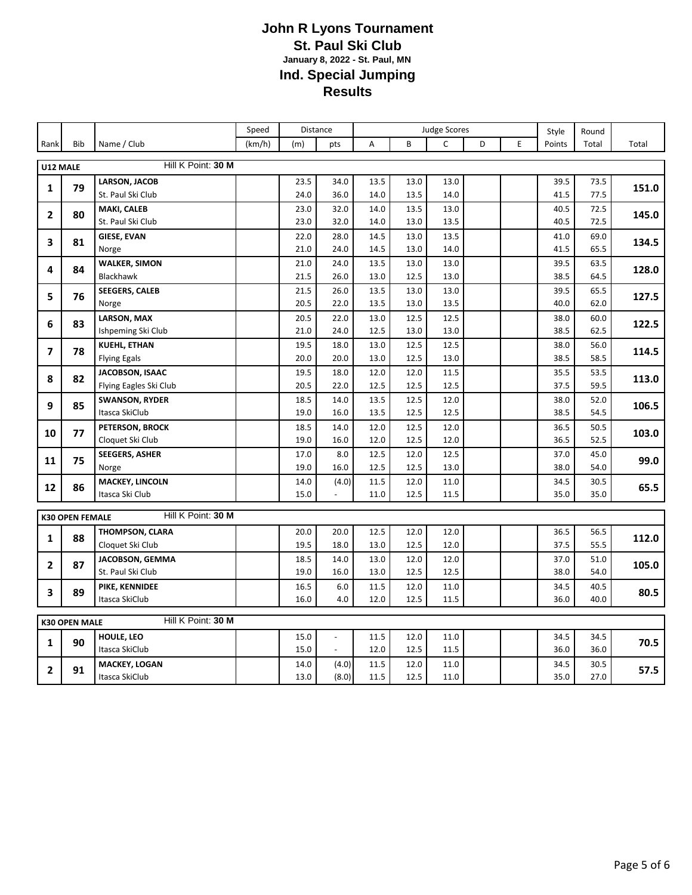|                |                        |                                    | Speed  |              | Distance     | <b>Judge Scores</b> |              |              |   |   | Style        | Round        |       |
|----------------|------------------------|------------------------------------|--------|--------------|--------------|---------------------|--------------|--------------|---|---|--------------|--------------|-------|
| Rank           | <b>Bib</b>             | Name / Club                        | (km/h) | (m)          | pts          | Α                   | B            | C            | D | E | Points       | Total        | Total |
|                |                        | Hill K Point: 30 M                 |        |              |              |                     |              |              |   |   |              |              |       |
| U12 MALE       |                        |                                    |        |              |              |                     |              |              |   |   |              |              |       |
| 1              | 79                     | LARSON, JACOB<br>St. Paul Ski Club |        | 23.5<br>24.0 | 34.0<br>36.0 | 13.5<br>14.0        | 13.0<br>13.5 | 13.0<br>14.0 |   |   | 39.5<br>41.5 | 73.5<br>77.5 | 151.0 |
|                |                        |                                    |        |              |              |                     | 13.5         |              |   |   |              | 72.5         |       |
| $\overline{2}$ | 80                     | MAKI, CALEB<br>St. Paul Ski Club   |        | 23.0<br>23.0 | 32.0<br>32.0 | 14.0<br>14.0        | 13.0         | 13.0<br>13.5 |   |   | 40.5<br>40.5 | 72.5         | 145.0 |
|                |                        | <b>GIESE, EVAN</b>                 |        | 22.0         | 28.0         | 14.5                | 13.0         | 13.5         |   |   | 41.0         | 69.0         |       |
| 3              | 81                     | Norge                              |        | 21.0         | 24.0         | 14.5                | 13.0         | 14.0         |   |   | 41.5         | 65.5         | 134.5 |
|                |                        | <b>WALKER, SIMON</b>               |        | 21.0         | 24.0         | 13.5                | 13.0         | 13.0         |   |   | 39.5         | 63.5         |       |
| 4              | 84                     | Blackhawk                          |        | 21.5         | 26.0         | 13.0                | 12.5         | 13.0         |   |   | 38.5         | 64.5         | 128.0 |
|                |                        | <b>SEEGERS, CALEB</b>              |        | 21.5         | 26.0         | 13.5                | 13.0         | 13.0         |   |   | 39.5         | 65.5         |       |
| 5              | 76                     | Norge                              |        | 20.5         | 22.0         | 13.5                | 13.0         | 13.5         |   |   | 40.0         | 62.0         | 127.5 |
|                |                        | <b>LARSON, MAX</b>                 |        | 20.5         | 22.0         | 13.0                | 12.5         | 12.5         |   |   | 38.0         | 60.0         |       |
| 6              | 83                     | Ishpeming Ski Club                 |        | 21.0         | 24.0         | 12.5                | 13.0         | 13.0         |   |   | 38.5         | 62.5         | 122.5 |
|                |                        | <b>KUEHL, ETHAN</b>                |        | 19.5         | 18.0         | 13.0                | 12.5         | 12.5         |   |   | 38.0         | 56.0         |       |
| $\overline{ }$ | 78                     | <b>Flying Egals</b>                |        | 20.0         | 20.0         | 13.0                | 12.5         | 13.0         |   |   | 38.5         | 58.5         | 114.5 |
|                |                        | JACOBSON, ISAAC                    |        | 19.5         | 18.0         | 12.0                | 12.0         | 11.5         |   |   | 35.5         | 53.5         |       |
| 8              | 82                     | Flying Eagles Ski Club             |        | 20.5         | 22.0         | 12.5                | 12.5         | 12.5         |   |   | 37.5         | 59.5         | 113.0 |
| 9              | 85                     | <b>SWANSON, RYDER</b>              |        | 18.5         | 14.0         | 13.5                | 12.5         | 12.0         |   |   | 38.0         | 52.0         |       |
|                |                        | Itasca SkiClub                     |        | 19.0         | 16.0         | 13.5                | 12.5         | 12.5         |   |   | 38.5         | 54.5         | 106.5 |
| 10             | 77                     | PETERSON, BROCK                    |        | 18.5         | 14.0         | 12.0                | 12.5         | 12.0         |   |   | 36.5         | 50.5         | 103.0 |
|                |                        | Cloquet Ski Club                   |        | 19.0         | 16.0         | 12.0                | 12.5         | 12.0         |   |   | 36.5         | 52.5         |       |
| 11             | 75                     | <b>SEEGERS, ASHER</b>              |        | 17.0         | 8.0          | 12.5                | 12.0         | 12.5         |   |   | 37.0         | 45.0         | 99.0  |
|                |                        | Norge                              |        | 19.0         | 16.0         | 12.5                | 12.5         | 13.0         |   |   | 38.0         | 54.0         |       |
| 12             | 86                     | <b>MACKEY, LINCOLN</b>             |        | 14.0         | (4.0)        | 11.5                | 12.0         | 11.0         |   |   | 34.5         | 30.5         | 65.5  |
|                |                        | Itasca Ski Club                    |        | 15.0         |              | 11.0                | 12.5         | 11.5         |   |   | 35.0         | 35.0         |       |
|                | <b>K30 OPEN FEMALE</b> | Hill K Point: 30 M                 |        |              |              |                     |              |              |   |   |              |              |       |
|                |                        | THOMPSON, CLARA                    |        | 20.0         | 20.0         | 12.5                | 12.0         | 12.0         |   |   | 36.5         | 56.5         |       |
| 1              | 88                     | Cloquet Ski Club                   |        | 19.5         | 18.0         | 13.0                | 12.5         | 12.0         |   |   | 37.5         | 55.5         | 112.0 |
|                |                        | JACOBSON, GEMMA                    |        | 18.5         | 14.0         | 13.0                | 12.0         | 12.0         |   |   | 37.0         | 51.0         |       |
| $\overline{2}$ | 87                     | St. Paul Ski Club                  |        | 19.0         | 16.0         | 13.0                | 12.5         | 12.5         |   |   | 38.0         | 54.0         | 105.0 |
|                |                        | PIKE, KENNIDEE                     |        | 16.5         | 6.0          | 11.5                | 12.0         | 11.0         |   |   | 34.5         | 40.5         |       |
| 3              | 89                     | Itasca SkiClub                     |        | 16.0         | 4.0          | 12.0                | 12.5         | 11.5         |   |   | 36.0         | 40.0         | 80.5  |
|                |                        |                                    |        |              |              |                     |              |              |   |   |              |              |       |
|                | <b>K30 OPEN MALE</b>   | Hill K Point: 30 M                 |        |              |              |                     |              |              |   |   |              |              |       |
| 1              | 90                     | HOULE, LEO                         |        | 15.0         |              | 11.5                | 12.0         | 11.0         |   |   | 34.5         | 34.5         | 70.5  |
|                |                        | Itasca SkiClub                     |        | 15.0         |              | 12.0                | 12.5         | 11.5         |   |   | 36.0         | 36.0         |       |
| $\mathbf{2}$   | 91                     | <b>MACKEY, LOGAN</b>               |        | 14.0         | (4.0)        | 11.5                | 12.0         | 11.0         |   |   | 34.5         | 30.5         | 57.5  |
|                |                        | Itasca SkiClub                     |        | 13.0         | (8.0)        | 11.5                | 12.5         | 11.0         |   |   | 35.0         | 27.0         |       |